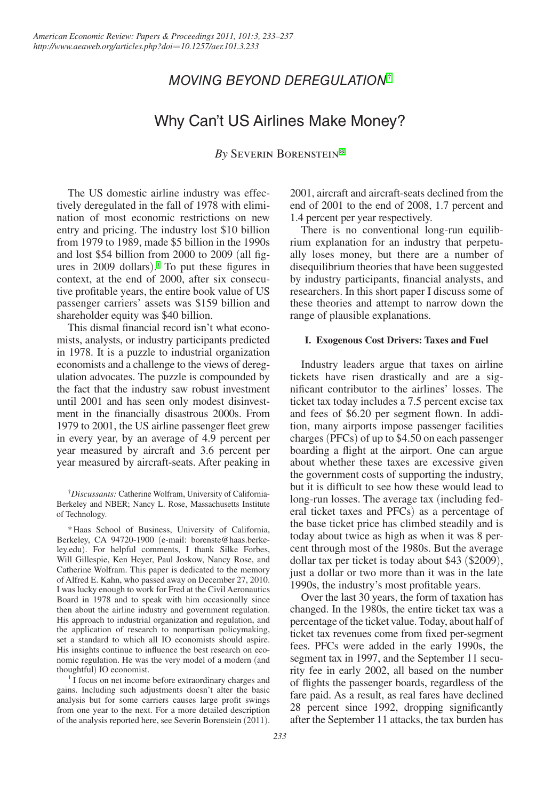# *Moving Beyond Deregulation*†

# Why Can't US Airlines Make Money?

*By* Severin Borenstein\*

The US domestic airline industry was effectively deregulated in the fall of 1978 with elimination of most economic restrictions on new entry and pricing. The industry lost \$10 billion from 1979 to 1989, made \$5 billion in the 1990s and lost \$54 billion from 2000 to 2009 (all figures in 2009 dollars). 1 To put these figures in context, at the end of 2000, after six consecutive profitable years, the entire book value of US passenger carriers' assets was \$159 billion and shareholder equity was \$40 billion.

This dismal financial record isn't what economists, analysts, or industry participants predicted in 1978. It is a puzzle to industrial organization economists and a challenge to the views of deregulation advocates. The puzzle is compounded by the fact that the industry saw robust investment until 2001 and has seen only modest disinvestment in the financially disastrous 2000s. From 1979 to 2001, the US airline passenger fleet grew in every year, by an average of 4.9 percent per year measured by aircraft and 3.6 percent per year measured by aircraft-seats. After peaking in

† *Discussants:* Catherine Wolfram, University of California-Berkeley and NBER; Nancy L. Rose, Massachusetts Institute of Technology.

\*Haas School of Business, University of California, Berkeley, CA 94720-1900 (e-mail: borenste@haas.berkeley.edu). For helpful comments, I thank Silke Forbes, Will Gillespie, Ken Heyer, Paul Joskow, Nancy Rose, and Catherine Wolfram. This paper is dedicated to the memory of Alfred E. Kahn, who passed away on December 27, 2010. I was lucky enough to work for Fred at the Civil Aeronautics Board in 1978 and to speak with him occasionally since then about the airline industry and government regulation. His approach to industrial organization and regulation, and the application of research to nonpartisan policymaking, set a standard to which all IO economists should aspire. His insights continue to influence the best research on economic regulation. He was the very model of a modern (and thoughtful) IO economist.

<sup>1</sup> I focus on net income before extraordinary charges and gains. Including such adjustments doesn't alter the basic analysis but for some carriers causes large profit swings from one year to the next. For a more detailed description of the analysis reported here, see Severin Borenstein (2011).

2001, aircraft and aircraft-seats declined from the end of 2001 to the end of 2008, 1.7 percent and 1.4 percent per year respectively.

There is no conventional long-run equilibrium explanation for an industry that perpetually loses money, but there are a number of disequilibrium theories that have been suggested by industry participants, financial analysts, and researchers. In this short paper I discuss some of these theories and attempt to narrow down the range of plausible explanations.

# **I. Exogenous Cost Drivers: Taxes and Fuel**

Industry leaders argue that taxes on airline tickets have risen drastically and are a significant contributor to the airlines' losses. The ticket tax today includes a 7.5 percent excise tax and fees of \$6.20 per segment flown. In addition, many airports impose passenger facilities charges (PFCs) of up to \$4.50 on each passenger boarding a flight at the airport. One can argue about whether these taxes are excessive given the government costs of supporting the industry, but it is difficult to see how these would lead to long-run losses. The average tax (including federal ticket taxes and PFCs) as a percentage of the base ticket price has climbed steadily and is today about twice as high as when it was 8 percent through most of the 1980s. But the average dollar tax per ticket is today about \$43 (\$2009), just a dollar or two more than it was in the late 1990s, the industry's most profitable years.

Over the last 30 years, the form of taxation has changed. In the 1980s, the entire ticket tax was a percentage of the ticket value. Today, about half of ticket tax revenues come from fixed per-segment fees. PFCs were added in the early 1990s, the segment tax in 1997, and the September 11 security fee in early 2002, all based on the number of flights the passenger boards, regardless of the fare paid. As a result, as real fares have declined 28 percent since 1992, dropping significantly after the September 11 attacks, the tax burden has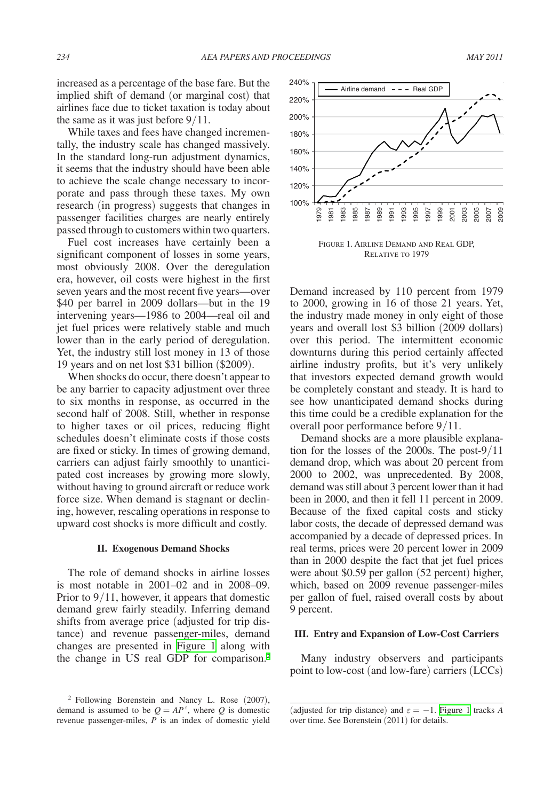increased as a percentage of the base fare. But the implied shift of demand (or marginal cost) that airlines face due to ticket taxation is today about the same as it was just before 9/11.

While taxes and fees have changed incrementally, the industry scale has changed massively. In the standard long-run adjustment dynamics, it seems that the industry should have been able to achieve the scale change necessary to incorporate and pass through these taxes. My own research (in progress) suggests that changes in passenger facilities charges are nearly entirely passed through to customers within two quarters.

Fuel cost increases have certainly been a significant component of losses in some years, most obviously 2008. Over the deregulation era, however, oil costs were highest in the first seven years and the most recent five years—over \$40 per barrel in 2009 dollars—but in the 19 intervening years—1986 to 2004—real oil and jet fuel prices were relatively stable and much lower than in the early period of deregulation. Yet, the industry still lost money in 13 of those 19 years and on net lost \$31 billion (\$2009).

When shocks do occur, there doesn't appear to be any barrier to capacity adjustment over three to six months in response, as occurred in the second half of 2008. Still, whether in response to higher taxes or oil prices, reducing flight schedules doesn't eliminate costs if those costs are fixed or sticky. In times of growing demand, carriers can adjust fairly smoothly to unanticipated cost increases by growing more slowly, without having to ground aircraft or reduce work force size. When demand is stagnant or declining, however, rescaling operations in response to upward cost shocks is more difficult and costly.

#### **II. Exogenous Demand Shocks**

The role of demand shocks in airline losses is most notable in 2001–02 and in 2008–09. Prior to 9/11, however, it appears that domestic demand grew fairly steadily. Inferring demand shifts from average price (adjusted for trip distance) and revenue passenger-miles, demand changes are presented in Figure 1 along with the change in US real GDP for comparison.<sup>2</sup>



FIGURE 1. AIRLINE DEMAND AND REAL GDP Relative to 1979

Demand increased by 110 percent from 1979 to 2000, growing in 16 of those 21 years. Yet, the industry made money in only eight of those years and overall lost \$3 billion (2009 dollars) over this period. The intermittent economic downturns during this period certainly affected airline industry profits, but it's very unlikely that investors expected demand growth would be completely constant and steady. It is hard to see how unanticipated demand shocks during this time could be a credible explanation for the overall poor performance before 9/11.

Demand shocks are a more plausible explanation for the losses of the 2000s. The post-9/11 demand drop, which was about 20 percent from 2000 to 2002, was unprecedented. By 2008, demand was still about 3 percent lower than it had been in 2000, and then it fell 11 percent in 2009. Because of the fixed capital costs and sticky labor costs, the decade of depressed demand was accompanied by a decade of depressed prices. In real terms, prices were 20 percent lower in 2009 than in 2000 despite the fact that jet fuel prices were about \$0.59 per gallon (52 percent) higher, which, based on 2009 revenue passenger-miles per gallon of fuel, raised overall costs by about 9 percent.

#### **III. Entry and Expansion of Low-Cost Carriers**

Many industry observers and participants point to low-cost (and low-fare) carriers (LCCs)

<sup>2</sup> Following Borenstein and Nancy L. Rose (2007), demand is assumed to be  $Q = AP^{\varepsilon}$ , where *Q* is domestic revenue passenger-miles, *P* is an index of domestic yield

<sup>(</sup>adjusted for trip distance) and  $\varepsilon = -1$ . Figure 1 tracks *A* over time. See Borenstein (2011) for details.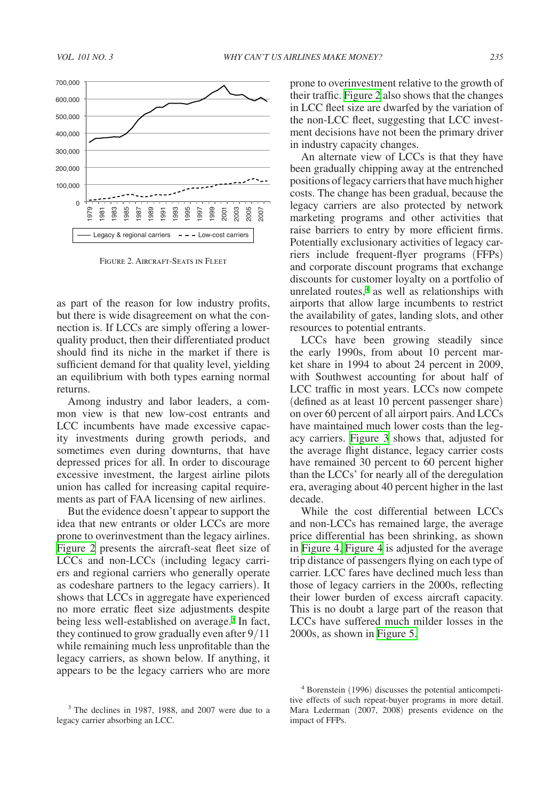

Figure 2. Aircraft-Seats in Fleet

as part of the reason for low industry profits, but there is wide disagreement on what the connection is. If LCCs are simply offering a lowerquality product, then their differentiated product should find its niche in the market if there is sufficient demand for that quality level, yielding an equilibrium with both types earning normal returns.

Among industry and labor leaders, a common view is that new low-cost entrants and LCC incumbents have made excessive capacity investments during growth periods, and sometimes even during downturns, that have depressed prices for all. In order to discourage excessive investment, the largest airline pilots union has called for increasing capital requirements as part of FAA licensing of new airlines.

But the evidence doesn't appear to support the idea that new entrants or older LCCs are more prone to overinvestment than the legacy airlines. Figure 2 presents the aircraft-seat fleet size of LCCs and non-LCCs (including legacy carriers and regional carriers who generally operate as codeshare partners to the legacy carriers). It shows that LCCs in aggregate have experienced no more erratic fleet size adjustments despite being less well-established on average.<sup>3</sup> In fact, they continued to grow gradually even after 9/11 while remaining much less unprofitable than the legacy carriers, as shown below. If anything, it appears to be the legacy carriers who are more

prone to overinvestment relative to the growth of their traffic. Figure 2 also shows that the changes in LCC fleet size are dwarfed by the variation of the non-LCC fleet, suggesting that LCC investment decisions have not been the primary driver in industry capacity changes.

An alternate view of LCCs is that they have been gradually chipping away at the entrenched positions of legacy carriers that have much higher costs. The change has been gradual, because the legacy carriers are also protected by network marketing programs and other activities that raise barriers to entry by more efficient firms. Potentially exclusionary activities of legacy carriers include frequent-flyer programs (FFPs) and corporate discount programs that exchange discounts for customer loyalty on a portfolio of unrelated routes, $4$  as well as relationships with airports that allow large incumbents to restrict the availability of gates, landing slots, and other resources to potential entrants.

LCCs have been growing steadily since the early 1990s, from about 10 percent market share in 1994 to about 24 percent in 2009, with Southwest accounting for about half of LCC traffic in most years. LCCs now compete (defined as at least 10 percent passenger share) on over 60 percent of all airport pairs. And LCCs have maintained much lower costs than the legacy carriers. [Figure 3](#page-3-0) shows that, adjusted for the average flight distance, legacy carrier costs have remained 30 percent to 60 percent higher than the LCCs' for nearly all of the deregulation era, averaging about 40 percent higher in the last decade.

While the cost differential between LCCs and non-LCCs has remained large, the average price differential has been shrinking, as shown in [Figure 4. Figure 4](#page-3-0) is adjusted for the average trip distance of passengers flying on each type of carrier. LCC fares have declined much less than those of legacy carriers in the 2000s, reflecting their lower burden of excess aircraft capacity. This is no doubt a large part of the reason that LCCs have suffered much milder losses in the 2000s, as shown in [Figure 5.](#page-3-0)

 $3$  The declines in 1987, 1988, and 2007 were due to a legacy carrier absorbing an LCC.

<sup>4</sup> Borenstein (1996) discusses the potential anticompetitive effects of such repeat-buyer programs in more detail. Mara Lederman (2007, 2008) presents evidence on the impact of FFPs.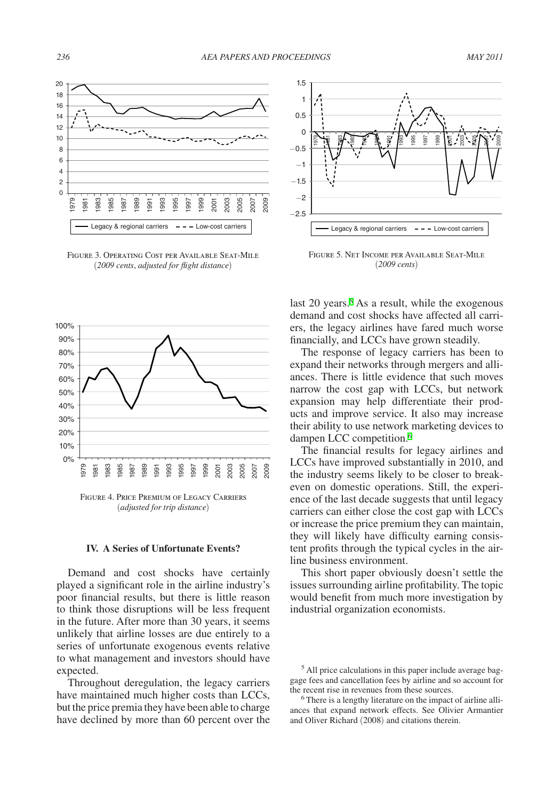<span id="page-3-0"></span>

Figure 3. Operating Cost per Available Seat-Mile (*2009 cents*, *adjusted for flight distance*)



Figure 5. Net Income per Available Seat-Mile (*2009 cents*)



Figure 4. Price Premium of Legacy Carriers (*adjusted for trip distance*)

### **IV. A Series of Unfortunate Events?**

Demand and cost shocks have certainly played a significant role in the airline industry's poor financial results, but there is little reason to think those disruptions will be less frequent in the future. After more than 30 years, it seems unlikely that airline losses are due entirely to a series of unfortunate exogenous events relative to what management and investors should have expected.

Throughout deregulation, the legacy carriers have maintained much higher costs than LCCs, but the price premia they have been able to charge have declined by more than 60 percent over the last 20 years.<sup>5</sup> As a result, while the exogenous demand and cost shocks have affected all carriers, the legacy airlines have fared much worse financially, and LCCs have grown steadily.

The response of legacy carriers has been to expand their networks through mergers and alliances. There is little evidence that such moves narrow the cost gap with LCCs, but network expansion may help differentiate their products and improve service. It also may increase their ability to use network marketing devices to dampen LCC competition.<sup>6</sup>

The financial results for legacy airlines and LCCs have improved substantially in 2010, and the industry seems likely to be closer to breakeven on domestic operations. Still, the experience of the last decade suggests that until legacy carriers can either close the cost gap with LCCs or increase the price premium they can maintain, they will likely have difficulty earning consistent profits through the typical cycles in the airline business environment.

This short paper obviously doesn't settle the issues surrounding airline profitability. The topic would benefit from much more investigation by industrial organization economists.

<sup>&</sup>lt;sup>5</sup> All price calculations in this paper include average baggage fees and cancellation fees by airline and so account for the recent rise in revenues from these sources.<br><sup>6</sup> There is a lengthy literature on the impact of airline alli-

ances that expand network effects. See Olivier Armantier and Oliver Richard (2008) and citations therein.